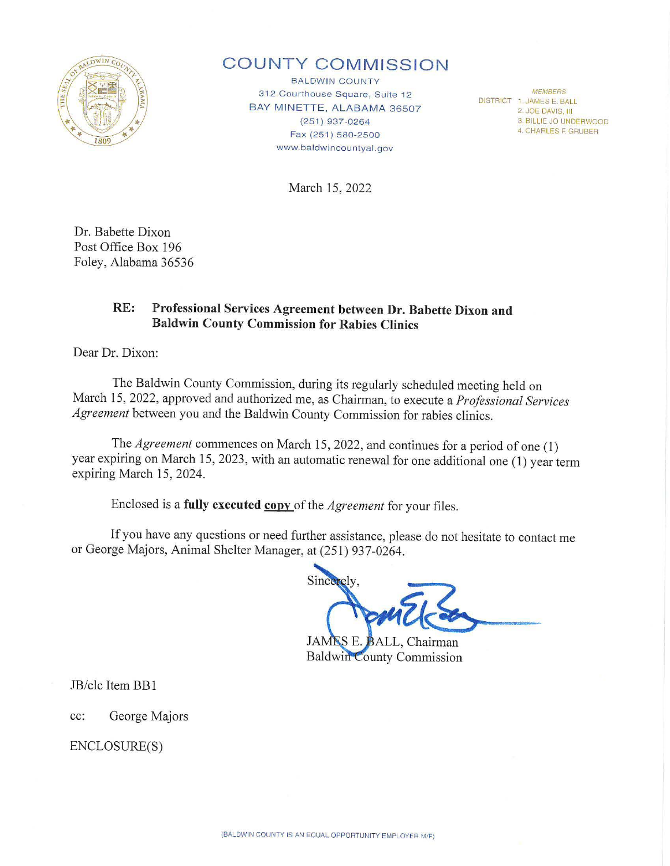

## **COUNTY COMMISSION**

BALDWIN COUNTY 312 Courthouse Square, Suite 12 BAY MINETTE, ALABAMA 36507 (251) 937-0264 Fax (251 ) 580-2500 www.baldwincountyal.gov

DISTRICT 1. JAMES E. BALL 2. JOE DAVIS, III 3. BILLIE JO UNDERWOOD 4. CHARLES F GRUBER

March 15, 2022

Dr. Babette Dixon Post Office Box 196 Foley, Alabama 36536

## **RE: Professional Services Agreement between Dr. Babette Dixon and Baldwin County Commission for Rabies Clinics**

Dear Dr. Dixon:

The Baldwin County Commission, during its regularly scheduled meeting held on March 15, 2022, approved and authorized me, as Chairman, to execute a *Professional Services Agreement* between you and the Baldwin County Commission for rabies clinics.

The *Agreement* commences on March 15, 2022, and continues for a period of one (1) year expiring on March 15, 2023, with an automatic renewal for one additional one (1) year term expiring March 15, 2024.

Enclosed is a **fully executed <u>copy</u>** of the *Agreement* for your files.

If you have any questions or need further assistance, please do not hesitate to contact me or George Majors, Animal Shelter Manager, at (251) 937-0264.

Sincerely

**JAMES E.** BALL, Chairman **Baldwin County Commission** 

JB/clc Item BB 1

cc: George Majors

ENCLOSURE(S)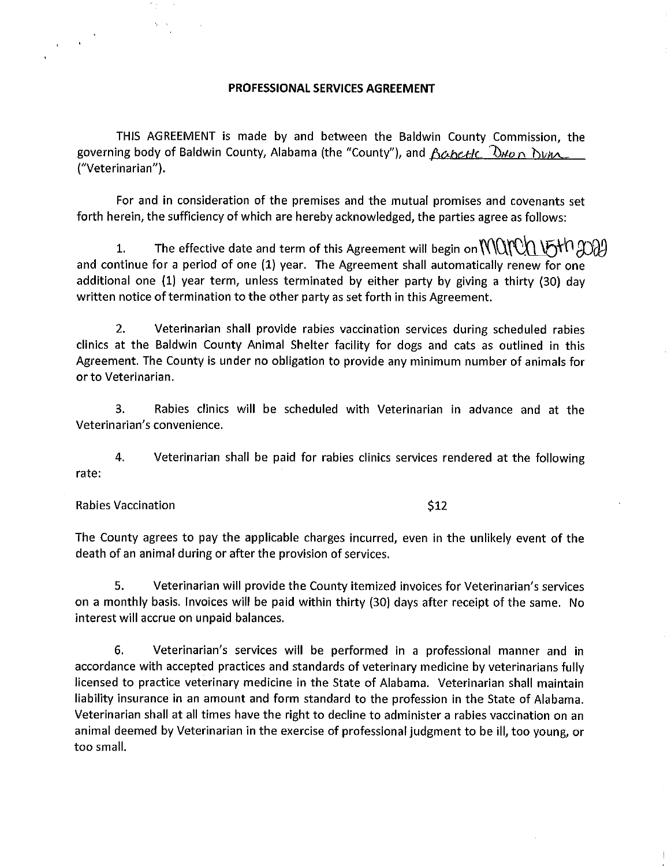## **PROFESSIONAL SERVICES AGREEMENT**

THIS AGREEMENT is made by and between the Baldwin County Commission, the governing body of Baldwin County, Alabama (the "County"), and *<u>Acheele Dwon Dune .</u>*<br>("Veterinarian").

For and in consideration of the premises and the mutual promises and covenants set forth herein, the sufficiency of which are hereby acknowledged, the parties agree as follows:

1. The effective date and term of this Agreement will begin on  $\mathcal{N}\mathcal{N}\mathcal{N}\mathcal{N}$  (Fith  $\mathcal{N}\mathcal{N}$ ) and continue for a period of one (1) year. The Agreement shall automatically renew for one additional one {1) year term, unless terminated by either party by giving a thirty {30) day written notice of termination to the other party as set forth in this Agreement.

2. Veterinarian shall provide rabies vaccination services during scheduled rabies clinics at the Baldwin County Animal Shelter facility for dogs and cats as outlined in this Agreement. The County is under no obligation to provide any minimum number of animals for or to Veterinarian.

3. Rabies clinics will be scheduled with Veterinarian in advance and at the Veterinarian's convenience.

4. Veterinarian shall be paid for rabies clinics services rendered at the following rate:

Rabies Vaccination  $$12$ 

The County agrees to pay the applicable charges incurred, even in the unlikely event of the death of an animal during or after the provision of services.

5. Veterinarian will provide the County itemized invoices for Veterinarian's services on a monthly basis. Invoices will be paid within thirty {30) days after receipt of the same. No interest will accrue on unpaid balances.

6. Veterinarian's services will be performed in a professional manner and in accordance with accepted practices and standards of veterinary medicine by veterinarians fully licensed to practice veterinary medicine in the State of Alabama. Veterinarian shall maintain liability insurance in an amount and form standard to the profession in the State of Alabama. Veterinarian shall at all times have the right to decline to administer a rabies vaccination on an animal deemed by Veterinarian in the exercise of professional judgment to be ill, too young, or too small.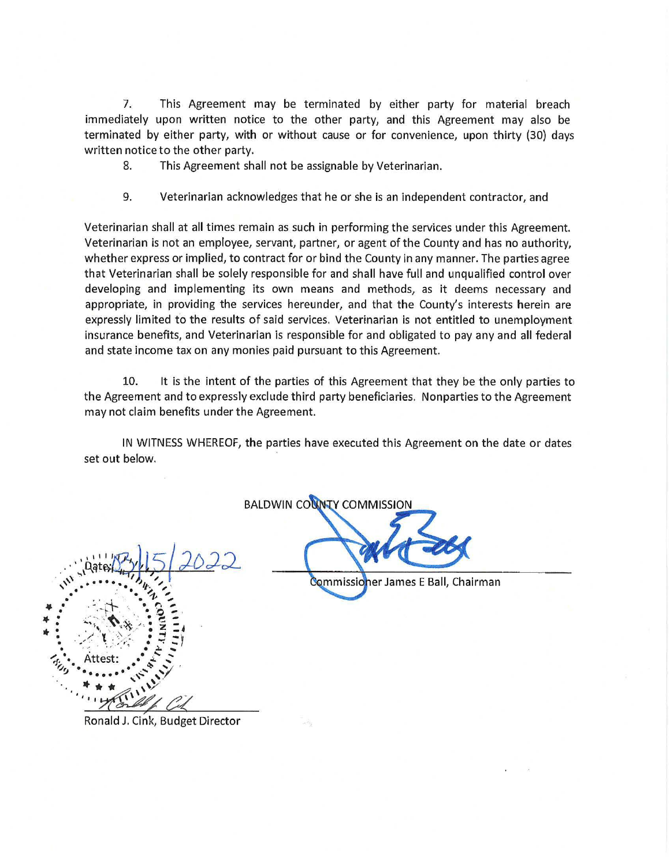7. This Agreement may be terminated by either party for material breach immediately upon written notice to the other party, and this Agreement may also be terminated by either party, with or without cause or for convenience, upon thirty (30) days written notice to the other party.

8. This Agreement shall not be assignable by Veterinarian.

9. Veterinarian acknowledges that he or she is an independent contractor, and

Veterinarian shall at all times remain as such in performing the services under this Agreement. Veterinarian is not an employee, servant, partner, or agent of the County and has no authority, whether express or implied, to contract for or bind the County in any manner. The parties agree that Veterinarian shall be solely responsible for and shall have full and unqualified control over developing and implementing its own means and methods, as it deems necessary and appropriate, in providing the services hereunder, and that the County's interests herein are expressly limited to the results of said services. Veterinarian is not entitled to unemployment insurance benefits, and Veterinarian is responsible for and obligated to pay any and all federal and state income tax on any monies paid pursuant to this Agreement.

10. It is the intent of the parties of this Agreement that they be the only parties to the Agreement and to expressly exclude third party beneficiaries. Nonparties to the Agreement may not claim benefits under the Agreement.

IN WITNESS WHEREOF, the parties have executed this Agreement on the date or dates set out below.

**BALDWIN COUNTY COMMISSION** 

Commissioner James E Ball, Chairman

Ronald J. Cink, Budget Director